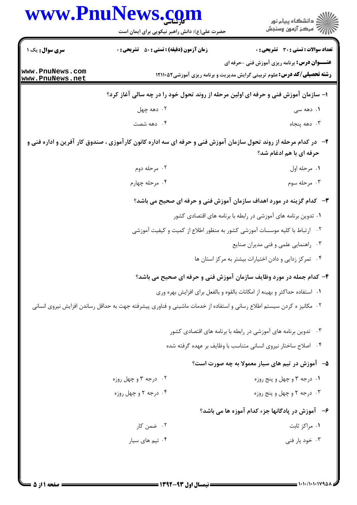|                                    | www.PnuNews.com                                                                    |                                                                               |
|------------------------------------|------------------------------------------------------------------------------------|-------------------------------------------------------------------------------|
|                                    | حضرت علی(ع): دانش راهبر نیکویی برای ایمان است                                      |                                                                               |
| سری سوال: یک ۱۔                    | زمان آزمون (دقیقه) : تستی : 50 ٪ تشریحی : 0                                        | <b>اد سوالات : تستی : 30 ٪ تشریحی : 0</b>                                     |
|                                    |                                                                                    | ـــوان درس: برنامه ریزی آموزش فنی -حرفه ای                                    |
| www.PnuNews.com<br>www.PnuNews.net |                                                                                    | <b>ته تحصیلی/کد درس:</b> علوم تربیتی گرایش مدیریت و برنامه ریزی آموزشی1۲۱۱۰۵۲ |
|                                    | ٔ– سازمان آموزش فنی و حرفه ای اولین مرحله از روند تحول خود را در چه سالی آغاز کرد؟ |                                                                               |

۰۲ دهه چهل

۰۴ دهه شصت

- ۲- در کدام مرحله از روند تحول سازمان آموزش فنی و حرفه ای سه اداره کانون کارآموزی ، صندوق کار آفرین و اداره فنی و حرفه ای با هم ادغام شد؟
	- ۰۲ مرحله دوم ۰۱ مرحله اول
		- ۰۴ مرحله چهارم ۰۳ مرحله سوم
		- **٣** كدام گزينه در مورد اهداف سازمان آموزش فني و حرفه اي صحيح مي باشد؟
			- ۰۱ تدوین برنامه های آموزشی در رابطه با برنامه های اقتصادی کشور
		- <sup>۲</sup>. ارتباط با کلیه موسسات آموزشی کشور به منظور اطلاع از کمیت و کیفیت آموزشی
			- ۰۳ راهنمایی علمی و فنی مدیران صنایع

**۱.** دهه سی

۰۳ دهه پنجاه

۰۴ تمرکز زدایی و دادن اختیارات بیشتر به مرکز استان ها **.** 

۴- کدام جمله در مورد وظایف سازمان آموزش فنی و حرفه ای صحیح می باشد؟

- ۰۱ استفاده حداکثر و بهینه از امکانات بالقوه و بالفعل برای افزایش بهره وری
- <sup>۲</sup>۰ مکانیز ه کردن سیستم اطلاع رسانی و استفاده از خدمات ماشینی و فناوری پیشرفته جهت به حداقل رساندن افزایش نیروی انسانی
	-
	- ۰۴ اصلاح ساختار نیروی انسانی متناسب با وظایف بر عهده گرفته شده

## ۵–۔ آموزش در تیم های سیار معمولا به چه صورت است؟

- ۰۱ درجه ۳ و چهل و پنج روزه ۰۲ درجه ۳ و چهل روزه ۰۴ درجه ۲ و چهل روزه ۰۳ درجه ۲ و چهل و پنج روزه
	- ۶- آموزش در یادگانها جزء کدام آموزه ها می باشد؟
	- ۲. ضمن کار ٠١ مراكز ثابت
	- ۰۳ خود یار فنی ۰۴ تیم های سیار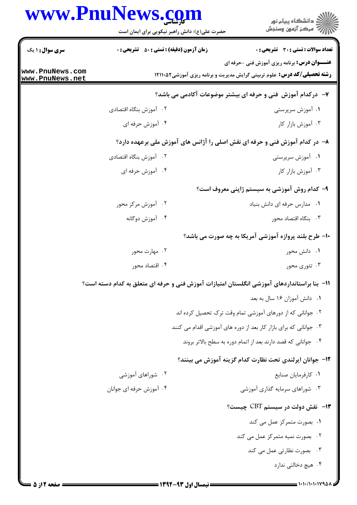## www.PnuNews.com

|                                                                             | www.PnuNews.com<br>حضرت علی(ع): دانش راهبر نیکویی برای ایمان است | ڪ دانشڪاه پيام نور<br>پ <sup>ر</sup> مرڪز آزمون وسنڊش                                                                                  |  |  |
|-----------------------------------------------------------------------------|------------------------------------------------------------------|----------------------------------------------------------------------------------------------------------------------------------------|--|--|
| <b>سری سوال : ۱ یک</b>                                                      | <b>زمان آزمون (دقیقه) : تستی : 50 ٪ تشریحی : 0</b>               | <b>تعداد سوالات : تستی : 30 ٪ تشریحی : 0</b>                                                                                           |  |  |
| www.PnuNews.com<br>www.PnuNews.net                                          |                                                                  | <b>عنـــوان درس:</b> برنامه ریزی آموزش فنی -حرفه ای<br><b>رشته تحصیلی/کد درس:</b> علوم تربیتی گرایش مدیریت و برنامه ریزی آموزشی1۲۱۱۰۵۲ |  |  |
|                                                                             |                                                                  | ۷– درکدام آموزش فنی و حرفه ای بیشتر موضوعات آکادمی می باشد؟                                                                            |  |  |
|                                                                             | ۰۲ آموزش بنگاه اقتصادی                                           | ۰۱ آموزش سرپرستی                                                                                                                       |  |  |
|                                                                             | ۰۴ آموزش حرفه ای                                                 | ۰۳ آموزش بازار کار                                                                                                                     |  |  |
| ۸– در کدام آموزش فنی و حرفه ای نقش اصلی را آژانس های آموزش ملی برعهده دارد؟ |                                                                  |                                                                                                                                        |  |  |
|                                                                             | ۰۲ آموزش بنگاه اقتصادی                                           | ۰۱ آموزش سرپرستی                                                                                                                       |  |  |
|                                                                             | ۰۴ آموزش حرفه ای                                                 | ۰۳ آموزش بازار کار                                                                                                                     |  |  |
|                                                                             |                                                                  | ۹– کدام روش آموزشی به سیستم ژاپنی معروف است؟                                                                                           |  |  |
|                                                                             | ۰۲ آموزش مرکز محور                                               | ٠١ مدارس حرفه اي دانش بنياد                                                                                                            |  |  |
|                                                                             | ۰۴ آموزش دوگانه                                                  | ۰۳ بنگاه اقتصاد محور                                                                                                                   |  |  |
|                                                                             |                                                                  | <b>۱۰- طرح بلند پروازه آموزشی آمریکا به چه صورت می باشد؟</b>                                                                           |  |  |
|                                                                             | ۰۲ مهارت محور                                                    | ۰۱ دانش محور                                                                                                                           |  |  |
|                                                                             | ۰۴ اقتصاد محور                                                   | ۰۳ تئوری محور                                                                                                                          |  |  |
|                                                                             |                                                                  | اا− بنا براستانداردهای آموزشی انگلستان امتیازات آموزش فنی و حرفه ای متعلق به کدام دسته است؟                                            |  |  |
|                                                                             |                                                                  | ٠١ دانش آموزان ١۶ سال به بعد                                                                                                           |  |  |
|                                                                             |                                                                  | ۰۲ جوانانی که از دورهای آموزشی تمام وقت ترک تحصیل کرده اند                                                                             |  |  |
|                                                                             |                                                                  | ۰۳ جوانانی که برای بازار کار بعد از دوره های آموزشی اقدام می کنند                                                                      |  |  |
|                                                                             |                                                                  | ۰۴ جوانانی که قصد دارند بعد از اتمام دوره به سطح بالاتر بروند                                                                          |  |  |
|                                                                             |                                                                  | ۱۲−  جوانان ایرلندی تحت نظارت کدام گزینه آموزش می بینند؟                                                                               |  |  |
|                                                                             | ۰۲ شوراهای آموزشی                                                | ٠١ كارفرمايان صنايع                                                                                                                    |  |  |
|                                                                             | ۰۴ آموزش حرفه ای جوانان                                          | ۰۳ شوراهای سرمایه گذاری آموزشی                                                                                                         |  |  |
|                                                                             |                                                                  | ۱۳- نقش دولت در سیستم CBT چیست؟                                                                                                        |  |  |
|                                                                             |                                                                  | ٠١. بصورت متمركز عمل مي كند                                                                                                            |  |  |
|                                                                             |                                                                  | ۰۲ بصورت نمیه متمرکز عمل می کند                                                                                                        |  |  |
|                                                                             |                                                                  | ۰۳ بصورت نظارتی عمل می کند                                                                                                             |  |  |
|                                                                             |                                                                  | ۰۴ هیچ دخالتی ندارد                                                                                                                    |  |  |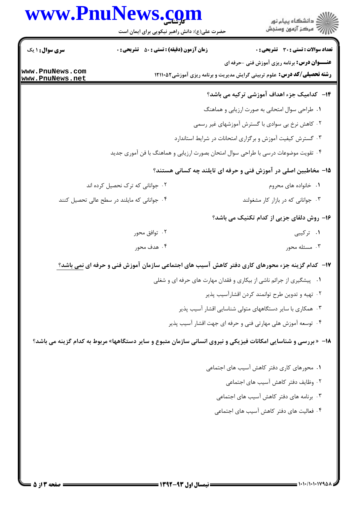|                        | www.PnuNews.com<br>حضرت علی(ع): دانش راهبر نیکویی برای ایمان است | ِ<br>∭ دانشڪاه پيام نور<br>∭ مرڪز آزمون وسنڊش                                                                                          |
|------------------------|------------------------------------------------------------------|----------------------------------------------------------------------------------------------------------------------------------------|
| <b>سری سوال :</b> ۱ یک | <b>زمان آزمون (دقیقه) : تستی : 50 ٪ تشریحی : 0</b>               | تعداد سوالات : تستى : 30 ٪ تشريحي : 0                                                                                                  |
| www.PnuNews.com        |                                                                  | <b>عنـــوان درس:</b> برنامه ریزی آموزش فنی -حرفه ای<br><b>رشته تحصیلی/کد درس:</b> علوم تربیتی گرایش مدیریت و برنامه ریزی آموزشی1۲۱۱۰۵۲ |
| www.PnuNews.net        |                                                                  | ۱۴–۔ کدامیک جزء اهداف آموزشی ترکیه می باشد؟                                                                                            |
|                        |                                                                  | ۰۱ طراحی سوال امتحانی به صورت ارزیابی و هماهنگ                                                                                         |
|                        |                                                                  | ۰۲ کاهش نرخ بی سوادی با گسترش آموزشهای غیر رسمی                                                                                        |
|                        |                                                                  | ۰۳ گسترش کیفیت آموزش و برگزاری امتحانات در شرایط استاندارد                                                                             |
|                        |                                                                  | ۰۴ تقویت موضوعات درسی با طراحی سوال امتحان بصورت ارزیابی و هماهنگ با فن آموری جدید                                                     |
|                        |                                                                  | ۱۵– مخاطبین اصلی در آموزش فنی و حرفه ای تایلند چه کسانی هستند؟                                                                         |
|                        | ۰۲ جوانانی که ترک نحصیل کرده اند                                 | ۰۱ خانواده های محروم                                                                                                                   |
|                        | ۰۴ جوانانی که مایلند در سطح عالی تحصیل کنند                      | ۰۳ جوانانی که در بازار کار مشغولند                                                                                                     |
|                        |                                                                  | 1۶- روش دلفای جزیی از کدام تکنیک می باشد؟                                                                                              |
|                        | ۰۲ توافق محور                                                    | ۰۱ ترکیبی                                                                                                                              |
|                        | ۰۴ هدف محور                                                      | ۰۳ مسئله محور                                                                                                                          |
|                        |                                                                  | ۱۷– کدام گزینه جزء محورهای کاری دفتر کاهش آسیب های اجتماعی سازمان آموزش فنی و حرفه ای <u>نمی باشد؟</u>                                 |
|                        |                                                                  | ۰۱ پیشگیری از جرائم ناشی از بیکاری و فقدان مهارت های حرفه ای و شغلی                                                                    |
|                        |                                                                  | ۰۲ تهیه و تدوین طرح توانمند کردن اقشارآسیب پذیر                                                                                        |
|                        |                                                                  | ۰۳ همکاری با سایر دستگاههای متولی شناسایی اقشار آسیب پذیر                                                                              |
|                        |                                                                  | ۰۴ توسعه آموزش هلی مهارتی فنی و حرفه ای جهت اقشار آسیب پذیر                                                                            |
|                        |                                                                  | ۱۸- «بررسی و شناسایی امکانات فیزیکی و نیروی انسانی سازمان متبوع و سایر دستگاهها» مربوط به کدام گزینه می باشد؟                          |
|                        |                                                                  | ۰۱ محورهای کاری دفتر کاهش آسیب های اجتماعی                                                                                             |
|                        |                                                                  | ٢. وظايف دفتر كاهش آسيب هاى اجتماعى                                                                                                    |
|                        |                                                                  | ۰۳ برنامه های دفتر کاهش آسیب های اجتماعی                                                                                               |
|                        |                                                                  | ۰۴ فعالیت های دفتر کاهش آسیب های اجتماعی                                                                                               |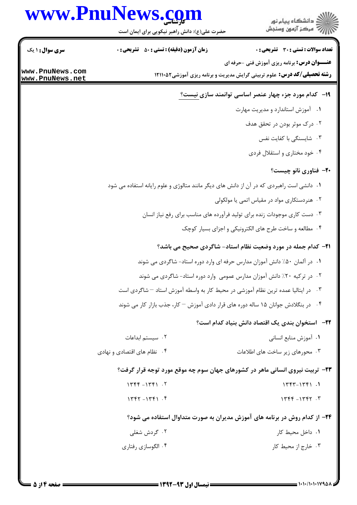## www.PnuNews.com

ا<br>اڳ دانشڪاه پيام نور<br>اڳ مرڪز آزمون وسنڊش

حضرت علی(ع): دانش راهبر نیکویی برای ایمان است

| <b>سری سوال : ۱ یک</b> | <b>زمان آزمون (دقیقه) : تستی : 50 ٪ تشریحی : 0</b>                                        |                                                                      | <b>عداد سوالات : تستی : 30 ٪ تشریحی : 0</b> |
|------------------------|-------------------------------------------------------------------------------------------|----------------------------------------------------------------------|---------------------------------------------|
| www.PnuNews.com        |                                                                                           | <b>عنـــوان درس:</b> برنامه ریزی آموزش فنی -حرفه ای                  |                                             |
| www.PnuNews.net        | <b>رشته تحصیلی/کد درس:</b> علوم تربیتی گرایش مدیریت و برنامه ریزی آموزشی1۲۱۱۰۵۲           |                                                                      |                                             |
|                        |                                                                                           | ۱۹- کدام مورد جزء چهار عنصر اساسی توانمند سازی نیست؟                 |                                             |
|                        |                                                                                           | ٠١ آموزش استاندارد و مديريت مهارت                                    |                                             |
|                        |                                                                                           |                                                                      | ۲. درک موثر بودن در تحقق هدف                |
|                        |                                                                                           |                                                                      | ۰۳ شایسنگی با کفایت نفس                     |
|                        |                                                                                           |                                                                      | ۰۴ خود مختاري و استقلال فردي                |
|                        |                                                                                           |                                                                      | ۲۰– فناوری نانو چیست؟                       |
|                        | ۰۱ دانشی است راهبردی که در آن از دانش های دیگر مانند متالوژی و علوم رایانه استفاده می شود |                                                                      |                                             |
|                        |                                                                                           | ۰۲ هنردستکاری مواد در مقیاس اتمی یا مولکولی                          |                                             |
|                        | ۰۳ دست کاری موجودات زنده برای تولید فرآورده های مناسب برای رفع نیاز انسان                 |                                                                      |                                             |
|                        |                                                                                           | ۰۴ مطالعه و ساخت طرح های الکترونیکی و اجزای بسیار کوچک               |                                             |
|                        |                                                                                           | <b>۲۱</b> - کدام جمله در مورد وضعیت نظام استاد- شاگردی صحیح می باشد؟ |                                             |
|                        | ۰۱ در آلمان ۵۰٪ دانش آموزان مدارس حرفه ای وارد دوره استاد- شاگردی می شوند                 |                                                                      |                                             |
|                        | ۰۲ در ترکیه ۲۰٪ دانش آموزان مدارس عمومی وارد دوره استاد- شاگردی می شوند                   |                                                                      |                                             |
|                        | ۰۳ در ایتالیا عمده ترین نظام آموزشی در محیط کار به واسطه آموزش استاد – شاگردی است         |                                                                      |                                             |

۰۴ در بنگلادش جوانان ۱۵ ساله دوره های قرار دادی آموزش <sup>—</sup> کار، جذب بازار کار می شوند

## **۲۲**— استخوان بندی یک اقتصاد دانش بنیاد کدام است؟

- ٠٢ سيستم ابداعات ٠١. آموزش منابع انساني
- ۰۳ محورهای زیر ساخت های اطلاعات ۰۴ نظام های اقتصادی و نهادی

۲۳- تربیت نیروی انسانی ماهر در کشورهای جهان سوم چه موقع مورد توجه قرار گرفت؟

- $1446 1461$ .  $1557 - 1551$ .
- $1557 1551$ .  $1446 - 1467.7$

۲۴– از کدام روش در برنامه های آموزش مدیران به صورت متداوال استفاده می شود؟

| ۰۲ گردش شغلی       | ۰۱ داخل محیط کار    |
|--------------------|---------------------|
| ۰۴ الگوسازی رفتاری | ۰۳ خارج از محیط کار |